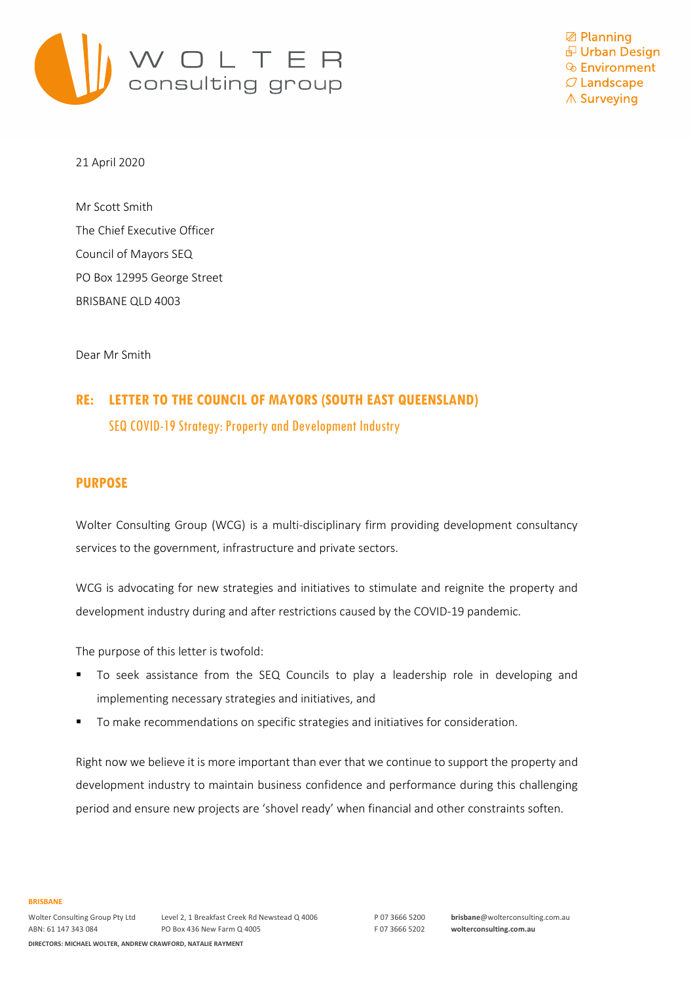

**Ø** Planning 日 Urban Design **& Environment**  $\mathcal O$  Landscape ∧ Surveying

21 April 2020

Mr Scott Smith The Chief Executive Officer Council of Mayors SEQ PO Box 12995 George Street BRISBANE QLD 4003

Dear Mr Smith

# **RE: LETTER TO THE COUNCIL OF MAYORS (SOUTH EAST QUEENSLAND)** SEQ COVID-19 Strategy: Property and Development Industry

### **PURPOSE**

Wolter Consulting Group (WCG) is a multi-disciplinary firm providing development consultancy services to the government, infrastructure and private sectors.

WCG is advocating for new strategies and initiatives to stimulate and reignite the property and development industry during and after restrictions caused by the COVID-19 pandemic.

The purpose of this letter is twofold:

- To seek assistance from the SEQ Councils to play a leadership role in developing and implementing necessary strategies and initiatives, and
- To make recommendations on specific strategies and initiatives for consideration.

Right now we believe it is more important than ever that we continue to support the property and development industry to maintain business confidence and performance during this challenging period and ensure new projects are 'shovel ready' when financial and other constraints soften.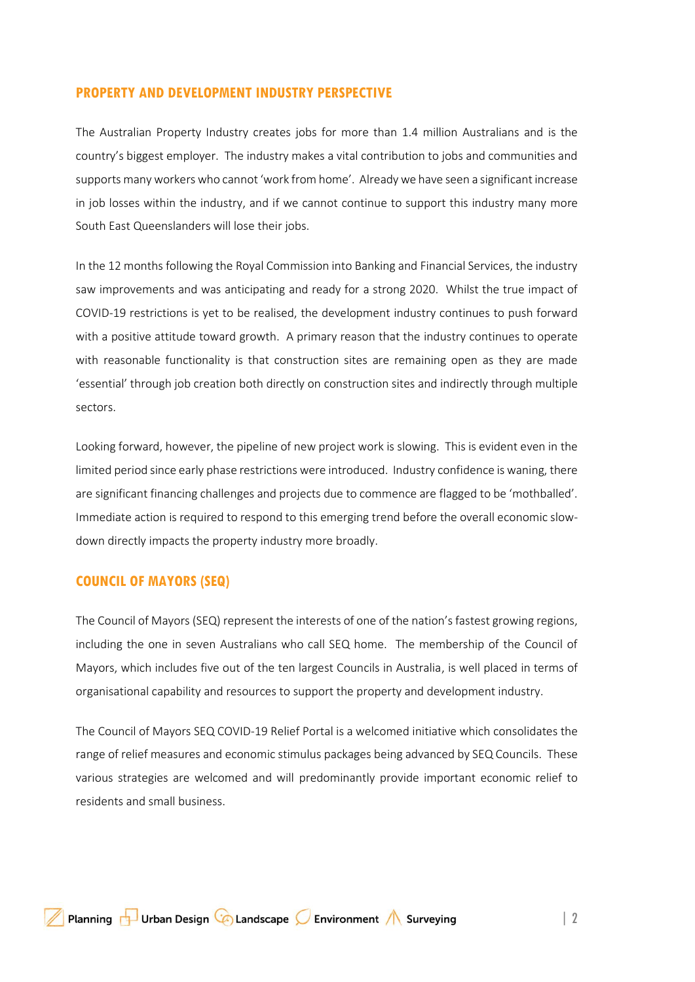### **PROPERTY AND DEVELOPMENT INDUSTRY PERSPECTIVE**

The Australian Property Industry creates jobs for more than 1.4 million Australians and is the country's biggest employer. The industry makes a vital contribution to jobs and communities and supports many workers who cannot 'work from home'. Already we have seen a significant increase in job losses within the industry, and if we cannot continue to support this industry many more South East Queenslanders will lose their jobs.

In the 12 months following the Royal Commission into Banking and Financial Services, the industry saw improvements and was anticipating and ready for a strong 2020. Whilst the true impact of COVID-19 restrictions is yet to be realised, the development industry continues to push forward with a positive attitude toward growth. A primary reason that the industry continues to operate with reasonable functionality is that construction sites are remaining open as they are made 'essential' through job creation both directly on construction sites and indirectly through multiple sectors.

Looking forward, however, the pipeline of new project work is slowing. This is evident even in the limited period since early phase restrictions were introduced. Industry confidence is waning, there are significant financing challenges and projects due to commence are flagged to be 'mothballed'. Immediate action is required to respond to this emerging trend before the overall economic slowdown directly impacts the property industry more broadly.

### **COUNCIL OF MAYORS (SEQ)**

The Council of Mayors (SEQ) represent the interests of one of the nation's fastest growing regions, including the one in seven Australians who call SEQ home. The membership of the Council of Mayors, which includes five out of the ten largest Councils in Australia, is well placed in terms of organisational capability and resources to support the property and development industry.

The Council of Mayors SEQ COVID-19 Relief Portal is a welcomed initiative which consolidates the range of relief measures and economic stimulus packages being advanced by SEQ Councils. These various strategies are welcomed and will predominantly provide important economic relief to residents and small business.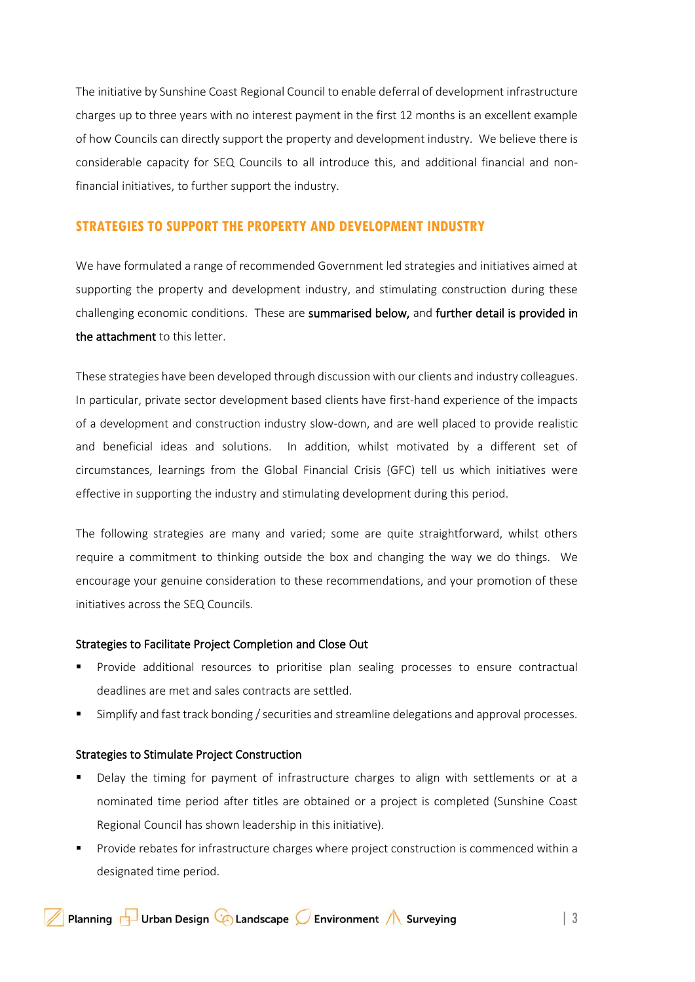The initiative by Sunshine Coast Regional Council to enable deferral of development infrastructure charges up to three years with no interest payment in the first 12 months is an excellent example of how Councils can directly support the property and development industry. We believe there is considerable capacity for SEQ Councils to all introduce this, and additional financial and nonfinancial initiatives, to further support the industry.

### **STRATEGIES TO SUPPORT THE PROPERTY AND DEVELOPMENT INDUSTRY**

We have formulated a range of recommended Government led strategies and initiatives aimed at supporting the property and development industry, and stimulating construction during these challenging economic conditions. These are summarised below, and further detail is provided in the attachment to this letter.

These strategies have been developed through discussion with our clients and industry colleagues. In particular, private sector development based clients have first-hand experience of the impacts of a development and construction industry slow-down, and are well placed to provide realistic and beneficial ideas and solutions. In addition, whilst motivated by a different set of circumstances, learnings from the Global Financial Crisis (GFC) tell us which initiatives were effective in supporting the industry and stimulating development during this period.

The following strategies are many and varied; some are quite straightforward, whilst others require a commitment to thinking outside the box and changing the way we do things. We encourage your genuine consideration to these recommendations, and your promotion of these initiatives across the SEQ Councils.

### Strategies to Facilitate Project Completion and Close Out

- Provide additional resources to prioritise plan sealing processes to ensure contractual deadlines are met and sales contracts are settled.
- Simplify and fast track bonding / securities and streamline delegations and approval processes.

#### Strategies to Stimulate Project Construction

- Delay the timing for payment of infrastructure charges to align with settlements or at a nominated time period after titles are obtained or a project is completed (Sunshine Coast Regional Council has shown leadership in this initiative).
- Provide rebates for infrastructure charges where project construction is commenced within a designated time period.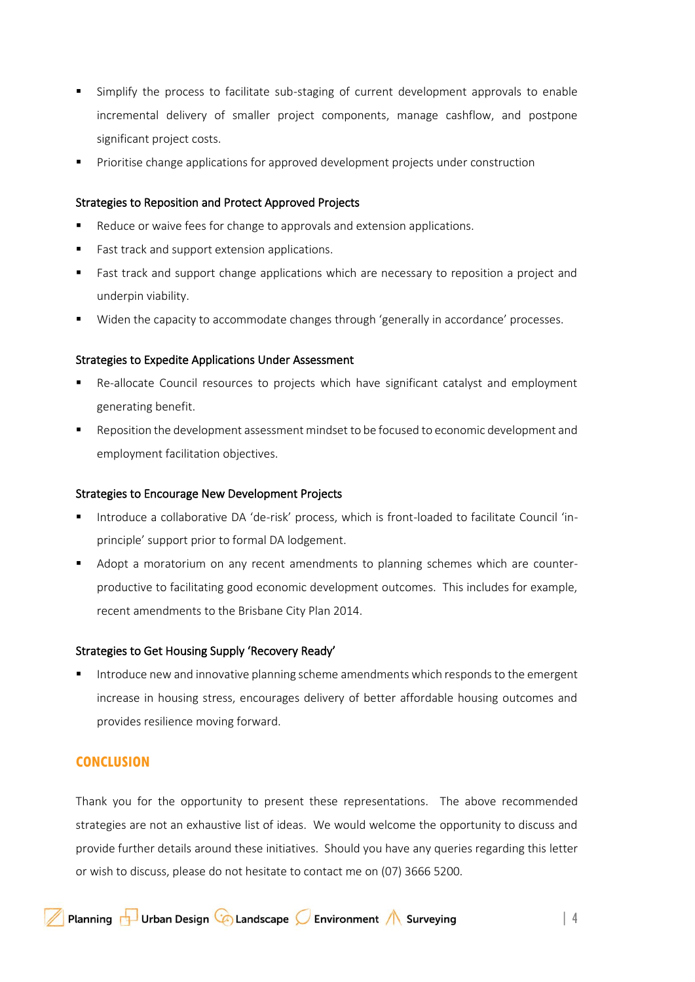- Simplify the process to facilitate sub-staging of current development approvals to enable incremental delivery of smaller project components, manage cashflow, and postpone significant project costs.
- Prioritise change applications for approved development projects under construction

#### Strategies to Reposition and Protect Approved Projects

- Reduce or waive fees for change to approvals and extension applications.
- Fast track and support extension applications.
- Fast track and support change applications which are necessary to reposition a project and underpin viability.
- Widen the capacity to accommodate changes through 'generally in accordance' processes.

#### Strategies to Expedite Applications Under Assessment

- Re-allocate Council resources to projects which have significant catalyst and employment generating benefit.
- Reposition the development assessment mindset to be focused to economic development and employment facilitation objectives.

#### Strategies to Encourage New Development Projects

- Introduce a collaborative DA 'de-risk' process, which is front-loaded to facilitate Council 'inprinciple' support prior to formal DA lodgement.
- Adopt a moratorium on any recent amendments to planning schemes which are counterproductive to facilitating good economic development outcomes. This includes for example, recent amendments to the Brisbane City Plan 2014.

#### Strategies to Get Housing Supply 'Recovery Ready'

Introduce new and innovative planning scheme amendments which responds to the emergent increase in housing stress, encourages delivery of better affordable housing outcomes and provides resilience moving forward.

### **CONCLUSION**

Thank you for the opportunity to present these representations. The above recommended strategies are not an exhaustive list of ideas. We would welcome the opportunity to discuss and provide further details around these initiatives. Should you have any queries regarding this letter or wish to discuss, please do not hesitate to contact me on (07) 3666 5200.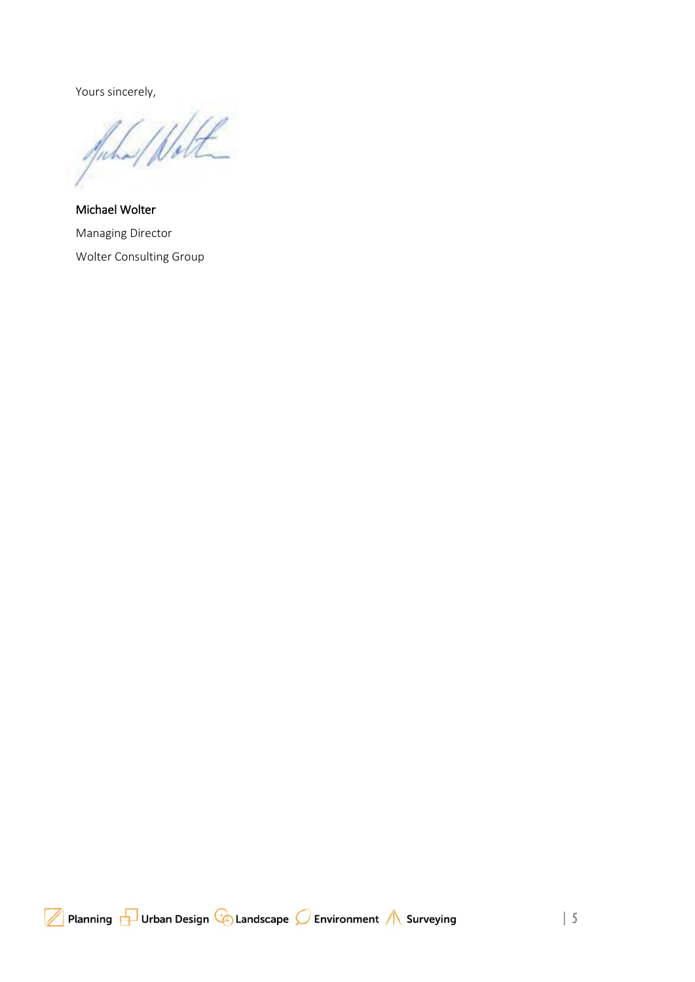Yours sincerely,

Inche

Michael Wolter Managing Director Wolter Consulting Group

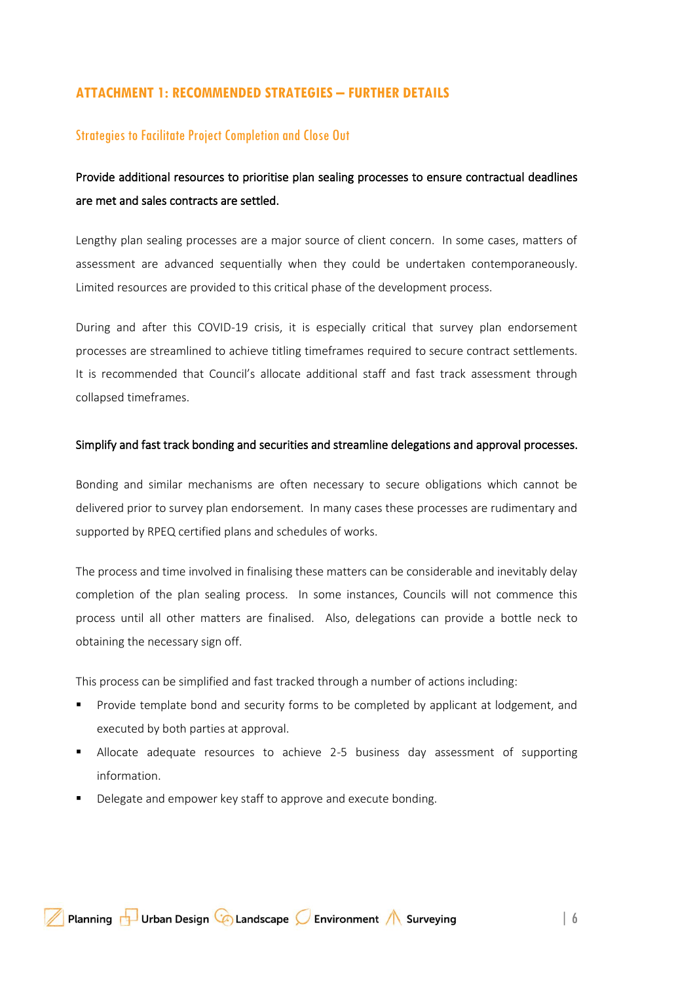### **ATTACHMENT 1: RECOMMENDED STRATEGIES – FURTHER DETAILS**

### Strategies to Facilitate Project Completion and Close Out

# Provide additional resources to prioritise plan sealing processes to ensure contractual deadlines are met and sales contracts are settled.

Lengthy plan sealing processes are a major source of client concern. In some cases, matters of assessment are advanced sequentially when they could be undertaken contemporaneously. Limited resources are provided to this critical phase of the development process.

During and after this COVID-19 crisis, it is especially critical that survey plan endorsement processes are streamlined to achieve titling timeframes required to secure contract settlements. It is recommended that Council's allocate additional staff and fast track assessment through collapsed timeframes.

#### Simplify and fast track bonding and securities and streamline delegations and approval processes.

Bonding and similar mechanisms are often necessary to secure obligations which cannot be delivered prior to survey plan endorsement. In many cases these processes are rudimentary and supported by RPEQ certified plans and schedules of works.

The process and time involved in finalising these matters can be considerable and inevitably delay completion of the plan sealing process. In some instances, Councils will not commence this process until all other matters are finalised. Also, delegations can provide a bottle neck to obtaining the necessary sign off.

This process can be simplified and fast tracked through a number of actions including:

- Provide template bond and security forms to be completed by applicant at lodgement, and executed by both parties at approval.
- **E** Allocate adequate resources to achieve 2-5 business day assessment of supporting information.
- Delegate and empower key staff to approve and execute bonding.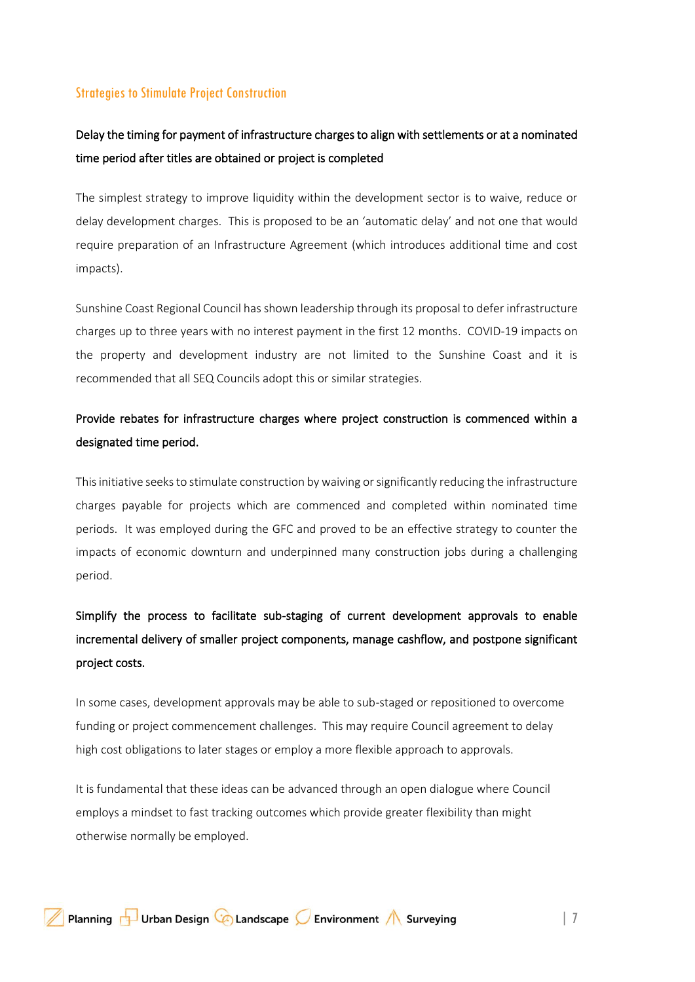### Strategies to Stimulate Project Construction

# Delay the timing for payment of infrastructure charges to align with settlements or at a nominated time period after titles are obtained or project is completed

The simplest strategy to improve liquidity within the development sector is to waive, reduce or delay development charges. This is proposed to be an 'automatic delay' and not one that would require preparation of an Infrastructure Agreement (which introduces additional time and cost impacts).

Sunshine Coast Regional Council has shown leadership through its proposal to defer infrastructure charges up to three years with no interest payment in the first 12 months. COVID-19 impacts on the property and development industry are not limited to the Sunshine Coast and it is recommended that all SEQ Councils adopt this or similar strategies.

# Provide rebates for infrastructure charges where project construction is commenced within a designated time period.

This initiative seeks to stimulate construction by waiving or significantly reducing the infrastructure charges payable for projects which are commenced and completed within nominated time periods. It was employed during the GFC and proved to be an effective strategy to counter the impacts of economic downturn and underpinned many construction jobs during a challenging period.

# Simplify the process to facilitate sub-staging of current development approvals to enable incremental delivery of smaller project components, manage cashflow, and postpone significant project costs.

In some cases, development approvals may be able to sub-staged or repositioned to overcome funding or project commencement challenges. This may require Council agreement to delay high cost obligations to later stages or employ a more flexible approach to approvals.

It is fundamental that these ideas can be advanced through an open dialogue where Council employs a mindset to fast tracking outcomes which provide greater flexibility than might otherwise normally be employed.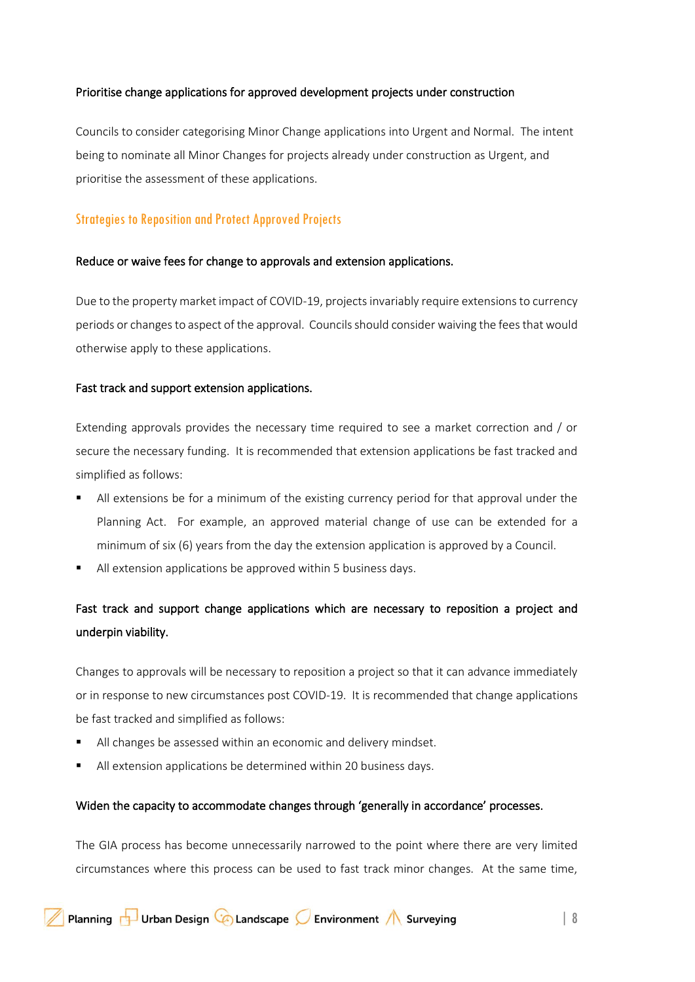### Prioritise change applications for approved development projects under construction

Councils to consider categorising Minor Change applications into Urgent and Normal. The intent being to nominate all Minor Changes for projects already under construction as Urgent, and prioritise the assessment of these applications.

## Strategies to Reposition and Protect Approved Projects

### Reduce or waive fees for change to approvals and extension applications.

Due to the property market impact of COVID-19, projects invariably require extensions to currency periods or changes to aspect of the approval. Councils should consider waiving the fees that would otherwise apply to these applications.

### Fast track and support extension applications.

Extending approvals provides the necessary time required to see a market correction and / or secure the necessary funding. It is recommended that extension applications be fast tracked and simplified as follows:

- All extensions be for a minimum of the existing currency period for that approval under the Planning Act. For example, an approved material change of use can be extended for a minimum of six (6) years from the day the extension application is approved by a Council.
- All extension applications be approved within 5 business days.

# Fast track and support change applications which are necessary to reposition a project and underpin viability.

Changes to approvals will be necessary to reposition a project so that it can advance immediately or in response to new circumstances post COVID-19. It is recommended that change applications be fast tracked and simplified as follows:

- All changes be assessed within an economic and delivery mindset.
- All extension applications be determined within 20 business days.

### Widen the capacity to accommodate changes through 'generally in accordance' processes.

The GIA process has become unnecessarily narrowed to the point where there are very limited circumstances where this process can be used to fast track minor changes. At the same time,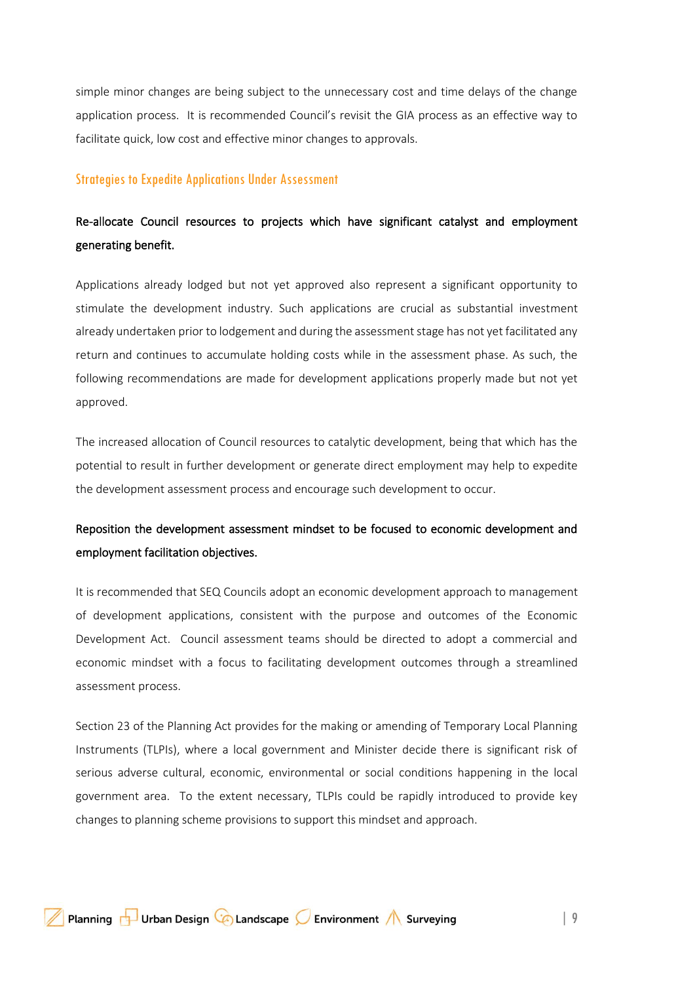simple minor changes are being subject to the unnecessary cost and time delays of the change application process. It is recommended Council's revisit the GIA process as an effective way to facilitate quick, low cost and effective minor changes to approvals.

#### Strategies to Expedite Applications Under Assessment

# Re-allocate Council resources to projects which have significant catalyst and employment generating benefit.

Applications already lodged but not yet approved also represent a significant opportunity to stimulate the development industry. Such applications are crucial as substantial investment already undertaken prior to lodgement and during the assessment stage has not yet facilitated any return and continues to accumulate holding costs while in the assessment phase. As such, the following recommendations are made for development applications properly made but not yet approved.

The increased allocation of Council resources to catalytic development, being that which has the potential to result in further development or generate direct employment may help to expedite the development assessment process and encourage such development to occur.

# Reposition the development assessment mindset to be focused to economic development and employment facilitation objectives.

It is recommended that SEQ Councils adopt an economic development approach to management of development applications, consistent with the purpose and outcomes of the Economic Development Act. Council assessment teams should be directed to adopt a commercial and economic mindset with a focus to facilitating development outcomes through a streamlined assessment process.

Section 23 of the Planning Act provides for the making or amending of Temporary Local Planning Instruments (TLPIs), where a local government and Minister decide there is significant risk of serious adverse cultural, economic, environmental or social conditions happening in the local government area. To the extent necessary, TLPIs could be rapidly introduced to provide key changes to planning scheme provisions to support this mindset and approach.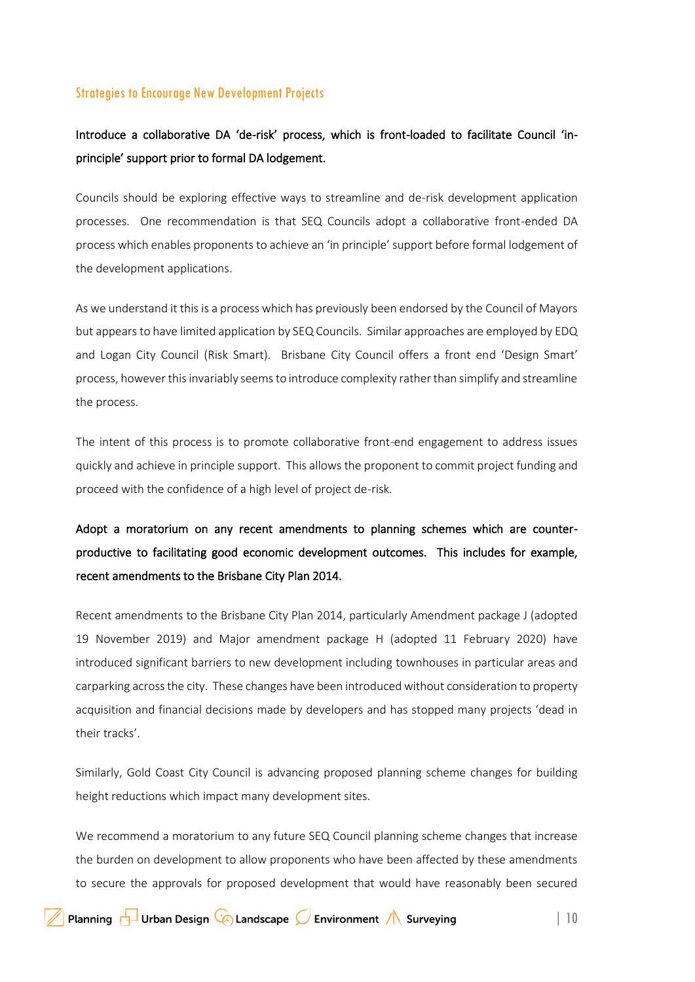### Strategies to Encourage New Development Projects

# Introduce a collaborative DA 'de-risk' process, which is front-loaded to facilitate Council 'inprinciple' support prior to formal DA lodgement.

Councils should be exploring effective ways to streamline and de-risk development application processes. One recommendation is that SEQ Councils adopt a collaborative front-ended DA process which enables proponents to achieve an 'in principle' support before formal lodgement of the development applications.

As we understand it this is a process which has previously been endorsed by the Council of Mayors but appears to have limited application by SEQ Councils. Similar approaches are employed by EDQ and Logan City Council (Risk Smart). Brisbane City Council offers a front end 'Design Smart' process, however this invariably seems to introduce complexity rather than simplify and streamline the process.

The intent of this process is to promote collaborative front-end engagement to address issues quickly and achieve in principle support. This allows the proponent to commit project funding and proceed with the confidence of a high level of project de-risk.

Adopt a moratorium on any recent amendments to planning schemes which are counterproductive to facilitating good economic development outcomes. This includes for example, recent amendments to the Brisbane City Plan 2014.

Recent amendments to the Brisbane City Plan 2014, particularly Amendment package J (adopted 19 November 2019) and Major amendment package H (adopted 11 February 2020) have introduced significant barriers to new development including townhouses in particular areas and carparking across the city. These changes have been introduced without consideration to property acquisition and financial decisions made by developers and has stopped many projects 'dead in their tracks'.

Similarly, Gold Coast City Council is advancing proposed planning scheme changes for building height reductions which impact many development sites.

We recommend a moratorium to any future SEQ Council planning scheme changes that increase the burden on development to allow proponents who have been affected by these amendments to secure the approvals for proposed development that would have reasonably been secured